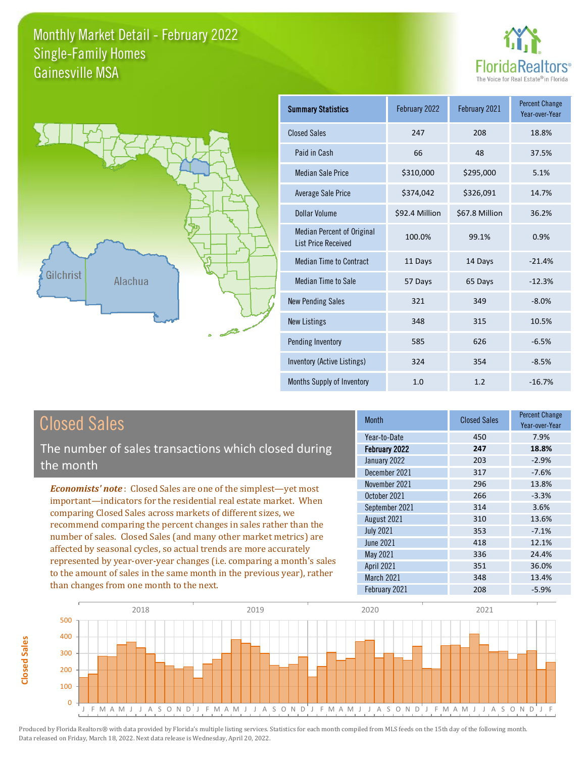



| <b>Summary Statistics</b>                                       | February 2022  | February 2021  | <b>Percent Change</b><br>Year-over-Year |
|-----------------------------------------------------------------|----------------|----------------|-----------------------------------------|
| <b>Closed Sales</b>                                             | 247            | 208            | 18.8%                                   |
| Paid in Cash                                                    | 66             | 48             | 37.5%                                   |
| <b>Median Sale Price</b>                                        | \$310,000      | \$295,000      | 5.1%                                    |
| Average Sale Price                                              | \$374,042      | \$326,091      | 14.7%                                   |
| Dollar Volume                                                   | \$92.4 Million | \$67.8 Million | 36.2%                                   |
| <b>Median Percent of Original</b><br><b>List Price Received</b> | 100.0%         | 99.1%          | 0.9%                                    |
| <b>Median Time to Contract</b>                                  | 11 Days        | 14 Days        | $-21.4%$                                |
| Median Time to Sale                                             | 57 Days        | 65 Days        | $-12.3%$                                |
| <b>New Pending Sales</b>                                        | 321            | 349            | $-8.0%$                                 |
| <b>New Listings</b>                                             | 348            | 315            | 10.5%                                   |
| Pending Inventory                                               | 585            | 626            | $-6.5%$                                 |
| Inventory (Active Listings)                                     | 324            | 354            | $-8.5%$                                 |
| Months Supply of Inventory                                      | 1.0            | 1.2            | $-16.7%$                                |

| <b>Closed Sales</b>                                  |
|------------------------------------------------------|
| The number of sales transactions which closed during |
| the month                                            |

**Closed Sales**

**Closed Sales** 

*Economists' note* : Closed Sales are one of the simplest—yet most important—indicators for the residential real estate market. When comparing Closed Sales across markets of different sizes, we recommend comparing the percent changes in sales rather than the number of sales. Closed Sales (and many other market metrics) are affected by seasonal cycles, so actual trends are more accurately represented by year-over-year changes (i.e. comparing a month's sales to the amount of sales in the same month in the previous year), rather than changes from one month to the next.

| <b>Month</b>      | <b>Closed Sales</b> | <b>Percent Change</b><br>Year-over-Year |
|-------------------|---------------------|-----------------------------------------|
| Year-to-Date      | 450                 | 7.9%                                    |
| February 2022     | 247                 | 18.8%                                   |
| January 2022      | 203                 | $-2.9%$                                 |
| December 2021     | 317                 | $-7.6%$                                 |
| November 2021     | 296                 | 13.8%                                   |
| October 2021      | 266                 | $-3.3%$                                 |
| September 2021    | 314                 | 3.6%                                    |
| August 2021       | 310                 | 13.6%                                   |
| <b>July 2021</b>  | 353                 | $-7.1%$                                 |
| <b>June 2021</b>  | 418                 | 12.1%                                   |
| May 2021          | 336                 | 24.4%                                   |
| <b>April 2021</b> | 351                 | 36.0%                                   |
| March 2021        | 348                 | 13.4%                                   |
| February 2021     | 208                 | $-5.9%$                                 |

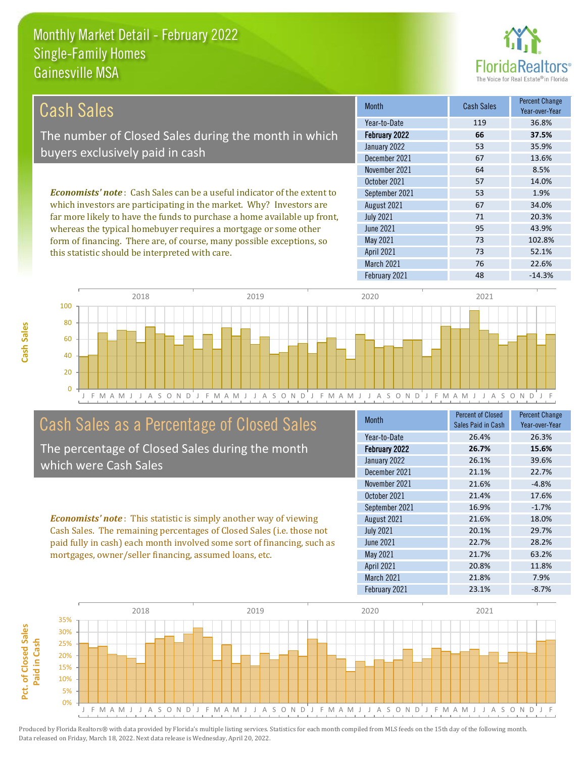

| Cash Sales                                                                     | <b>Month</b>      | <b>Cash Sales</b> | <b>Percent Change</b><br>Year-over-Year |
|--------------------------------------------------------------------------------|-------------------|-------------------|-----------------------------------------|
|                                                                                | Year-to-Date      | 119               | 36.8%                                   |
| The number of Closed Sales during the month in which                           | February 2022     | 66                | 37.5%                                   |
| buyers exclusively paid in cash                                                | January 2022      | 53                | 35.9%                                   |
|                                                                                | December 2021     | 67                | 13.6%                                   |
|                                                                                | November 2021     | 64                | 8.5%                                    |
|                                                                                | October 2021      | 57                | 14.0%                                   |
| <b>Economists' note:</b> Cash Sales can be a useful indicator of the extent to | September 2021    | 53                | 1.9%                                    |
| which investors are participating in the market. Why? Investors are            | August 2021       | 67                | 34.0%                                   |
| far more likely to have the funds to purchase a home available up front,       | <b>July 2021</b>  | 71                | 20.3%                                   |
| whereas the typical homebuyer requires a mortgage or some other                | June 2021         | 95                | 43.9%                                   |
| form of financing. There are, of course, many possible exceptions, so          | May 2021          | 73                | 102.8%                                  |
| this statistic should be interpreted with care.                                | <b>April 2021</b> | 73                | 52.1%                                   |



### Cash Sales as a Percentage of Closed Sales

The percentage of Closed Sales during the month which were Cash Sales

*Economists' note* : This statistic is simply another way of viewing Cash Sales. The remaining percentages of Closed Sales (i.e. those not paid fully in cash) each month involved some sort of financing, such as mortgages, owner/seller financing, assumed loans, etc.

| <b>Month</b>     | Percent of Closed  | <b>Percent Change</b> |
|------------------|--------------------|-----------------------|
|                  | Sales Paid in Cash | Year-over-Year        |
| Year-to-Date     | 26.4%              | 26.3%                 |
| February 2022    | 26.7%              | 15.6%                 |
| January 2022     | 26.1%              | 39.6%                 |
| December 2021    | 21.1%              | 22.7%                 |
| November 2021    | 21.6%              | $-4.8%$               |
| October 2021     | 21.4%              | 17.6%                 |
| September 2021   | 16.9%              | $-1.7%$               |
| August 2021      | 21.6%              | 18.0%                 |
| <b>July 2021</b> | 20.1%              | 29.7%                 |
| <b>June 2021</b> | 22.7%              | 28.2%                 |
| May 2021         | 21.7%              | 63.2%                 |
| April 2021       | 20.8%              | 11.8%                 |
| March 2021       | 21.8%              | 7.9%                  |
| February 2021    | 23.1%              | $-8.7%$               |

February 2021 **48** -14.3%

March 2021 76 76 22.6%

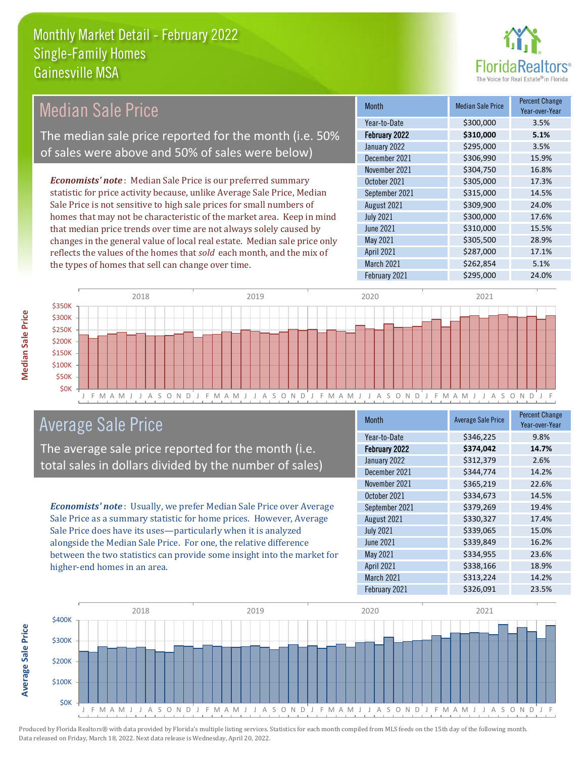

| <b>Median Sale Price</b>                                                  | <b>Month</b>      | <b>Median Sale Price</b> | <b>Percent Change</b><br>Year-over-Year |
|---------------------------------------------------------------------------|-------------------|--------------------------|-----------------------------------------|
|                                                                           | Year-to-Date      | \$300,000                | 3.5%                                    |
| The median sale price reported for the month (i.e. 50%                    | February 2022     | \$310,000                | 5.1%                                    |
| of sales were above and 50% of sales were below)                          | January 2022      | \$295,000                | 3.5%                                    |
|                                                                           | December 2021     | \$306,990                | 15.9%                                   |
|                                                                           | November 2021     | \$304,750                | 16.8%                                   |
| <b>Economists' note:</b> Median Sale Price is our preferred summary       | October 2021      | \$305,000                | 17.3%                                   |
| statistic for price activity because, unlike Average Sale Price, Median   | September 2021    | \$315,000                | 14.5%                                   |
| Sale Price is not sensitive to high sale prices for small numbers of      | August 2021       | \$309,900                | 24.0%                                   |
| homes that may not be characteristic of the market area. Keep in mind     | <b>July 2021</b>  | \$300,000                | 17.6%                                   |
| that median price trends over time are not always solely caused by        | June 2021         | \$310,000                | 15.5%                                   |
| changes in the general value of local real estate. Median sale price only | May 2021          | \$305,500                | 28.9%                                   |
| reflects the values of the homes that sold each month and the mix of      | <b>April 2021</b> | \$287,000                | 17.1%                                   |



## Average Sale Price

The average sale price reported for the month (i.e. total sales in dollars divided by the number of sales)

reflects the values of the homes that *sold* each month, and the mix of

the types of homes that sell can change over time.

*Economists' note* : Usually, we prefer Median Sale Price over Average Sale Price as a summary statistic for home prices. However, Average Sale Price does have its uses—particularly when it is analyzed alongside the Median Sale Price. For one, the relative difference between the two statistics can provide some insight into the market for higher-end homes in an area.

| <b>Month</b>     | <b>Average Sale Price</b> | <b>Percent Change</b><br>Year-over-Year |
|------------------|---------------------------|-----------------------------------------|
| Year-to-Date     | \$346,225                 | 9.8%                                    |
| February 2022    | \$374,042                 | 14.7%                                   |
| January 2022     | \$312,379                 | 2.6%                                    |
| December 2021    | \$344,774                 | 14.2%                                   |
| November 2021    | \$365,219                 | 22.6%                                   |
| October 2021     | \$334,673                 | 14.5%                                   |
| September 2021   | \$379,269                 | 19.4%                                   |
| August 2021      | \$330,327                 | 17.4%                                   |
| <b>July 2021</b> | \$339,065                 | 15.0%                                   |
| <b>June 2021</b> | \$339,849                 | 16.2%                                   |
| May 2021         | \$334,955                 | 23.6%                                   |
| April 2021       | \$338,166                 | 18.9%                                   |
| March 2021       | \$313,224                 | 14.2%                                   |
| February 2021    | \$326,091                 | 23.5%                                   |

March 2021 \$262,854 5.1% February 2021 **\$295,000** 24.0%



Produced by Florida Realtors® with data provided by Florida's multiple listing services. Statistics for each month compiled from MLS feeds on the 15th day of the following month. Data released on Friday, March 18, 2022. Next data release is Wednesday, April 20, 2022.

**Average Sale Price**

**Average Sale Price**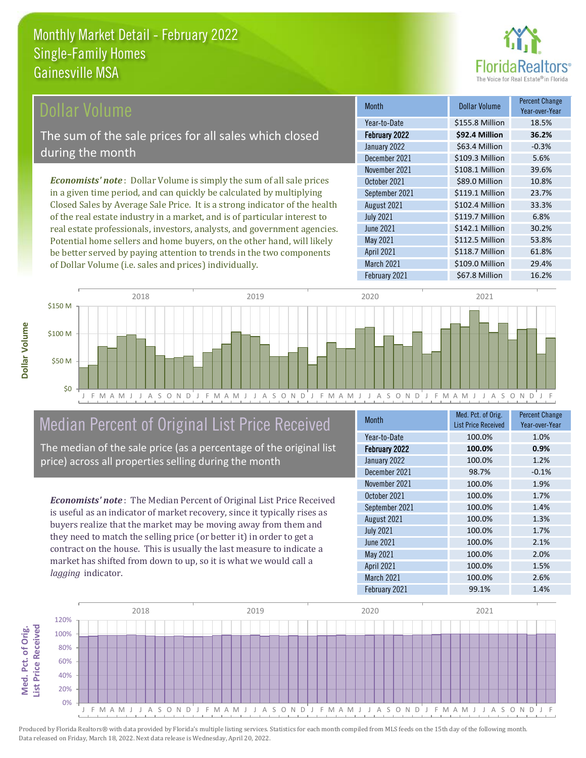

### Dollar Volume

The sum of the sale prices for all sales which closed during the month

*Economists' note* : Dollar Volume is simply the sum of all sale prices in a given time period, and can quickly be calculated by multiplying Closed Sales by Average Sale Price. It is a strong indicator of the health of the real estate industry in a market, and is of particular interest to real estate professionals, investors, analysts, and government agencies. Potential home sellers and home buyers, on the other hand, will likely be better served by paying attention to trends in the two components of Dollar Volume (i.e. sales and prices) individually.

| <b>Month</b>      | Dollar Volume   | <b>Percent Change</b><br>Year-over-Year |
|-------------------|-----------------|-----------------------------------------|
| Year-to-Date      | \$155.8 Million | 18.5%                                   |
| February 2022     | \$92.4 Million  | 36.2%                                   |
| January 2022      | \$63.4 Million  | $-0.3%$                                 |
| December 2021     | \$109.3 Million | 5.6%                                    |
| November 2021     | \$108.1 Million | 39.6%                                   |
| October 2021      | \$89.0 Million  | 10.8%                                   |
| September 2021    | \$119.1 Million | 23.7%                                   |
| August 2021       | \$102.4 Million | 33.3%                                   |
| <b>July 2021</b>  | \$119.7 Million | 6.8%                                    |
| <b>June 2021</b>  | \$142.1 Million | 30.2%                                   |
| May 2021          | \$112.5 Million | 53.8%                                   |
| <b>April 2021</b> | \$118.7 Million | 61.8%                                   |
| March 2021        | \$109.0 Million | 29.4%                                   |
| February 2021     | \$67.8 Million  | 16.2%                                   |



## Median Percent of Original List Price Received

The median of the sale price (as a percentage of the original list price) across all properties selling during the month

*Economists' note* : The Median Percent of Original List Price Received is useful as an indicator of market recovery, since it typically rises as buyers realize that the market may be moving away from them and they need to match the selling price (or better it) in order to get a contract on the house. This is usually the last measure to indicate a market has shifted from down to up, so it is what we would call a *lagging* indicator.

| <b>Month</b>      | Med. Pct. of Orig.         | <b>Percent Change</b> |
|-------------------|----------------------------|-----------------------|
|                   | <b>List Price Received</b> | Year-over-Year        |
| Year-to-Date      | 100.0%                     | 1.0%                  |
| February 2022     | 100.0%                     | 0.9%                  |
| January 2022      | 100.0%                     | 1.2%                  |
| December 2021     | 98.7%                      | $-0.1%$               |
| November 2021     | 100.0%                     | 1.9%                  |
| October 2021      | 100.0%                     | 1.7%                  |
| September 2021    | 100.0%                     | 1.4%                  |
| August 2021       | 100.0%                     | 1.3%                  |
| <b>July 2021</b>  | 100.0%                     | 1.7%                  |
| June 2021         | 100.0%                     | 2.1%                  |
| May 2021          | 100.0%                     | 2.0%                  |
| <b>April 2021</b> | 100.0%                     | 1.5%                  |
| <b>March 2021</b> | 100.0%                     | 2.6%                  |
| February 2021     | 99.1%                      | 1.4%                  |



Produced by Florida Realtors® with data provided by Florida's multiple listing services. Statistics for each month compiled from MLS feeds on the 15th day of the following month. Data released on Friday, March 18, 2022. Next data release is Wednesday, April 20, 2022.

Med. Pct. of Orig.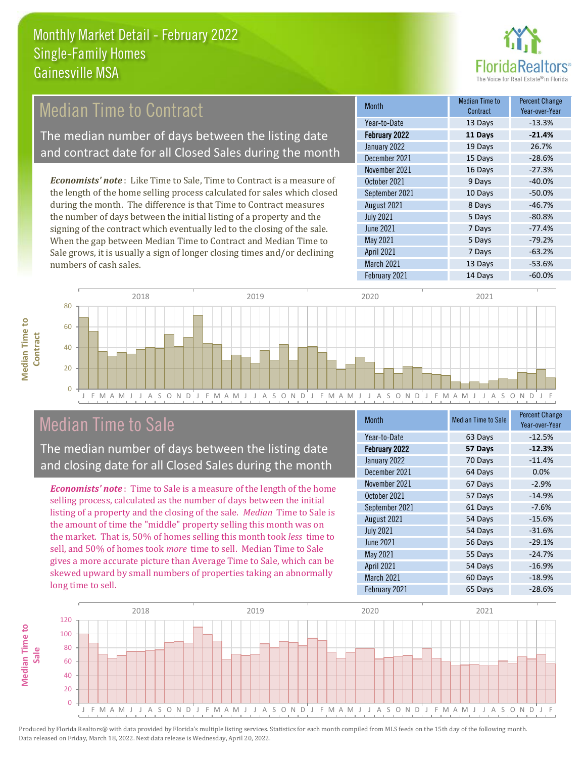

## Median Time to Contract

The median number of days between the listing date and contract date for all Closed Sales during the month

*Economists' note* : Like Time to Sale, Time to Contract is a measure of the length of the home selling process calculated for sales which closed during the month. The difference is that Time to Contract measures the number of days between the initial listing of a property and the signing of the contract which eventually led to the closing of the sale. When the gap between Median Time to Contract and Median Time to Sale grows, it is usually a sign of longer closing times and/or declining numbers of cash sales.

| <b>Month</b>     | Median Time to<br>Contract | <b>Percent Change</b><br>Year-over-Year |
|------------------|----------------------------|-----------------------------------------|
| Year-to-Date     | 13 Days                    | $-13.3%$                                |
| February 2022    | 11 Days                    | $-21.4%$                                |
| January 2022     | 19 Days                    | 26.7%                                   |
| December 2021    | 15 Days                    | $-28.6%$                                |
| November 2021    | 16 Days                    | $-27.3%$                                |
| October 2021     | 9 Days                     | $-40.0%$                                |
| September 2021   | 10 Days                    | $-50.0%$                                |
| August 2021      | 8 Days                     | $-46.7%$                                |
| <b>July 2021</b> | 5 Days                     | $-80.8%$                                |
| <b>June 2021</b> | 7 Days                     | $-77.4%$                                |
| May 2021         | 5 Days                     | $-79.2%$                                |
| April 2021       | 7 Days                     | $-63.2%$                                |
| March 2021       | 13 Days                    | $-53.6%$                                |
| February 2021    | 14 Days                    | $-60.0%$                                |



### Median Time to Sale

**Median Time to** 

**Median Time to** 

The median number of days between the listing date and closing date for all Closed Sales during the month

*Economists' note* : Time to Sale is a measure of the length of the home selling process, calculated as the number of days between the initial listing of a property and the closing of the sale. *Median* Time to Sale is the amount of time the "middle" property selling this month was on the market. That is, 50% of homes selling this month took *less* time to sell, and 50% of homes took *more* time to sell. Median Time to Sale gives a more accurate picture than Average Time to Sale, which can be skewed upward by small numbers of properties taking an abnormally long time to sell.

| <b>Month</b>      | <b>Median Time to Sale</b> | <b>Percent Change</b><br>Year-over-Year |
|-------------------|----------------------------|-----------------------------------------|
| Year-to-Date      | 63 Days                    | $-12.5%$                                |
| February 2022     | 57 Days                    | $-12.3%$                                |
| January 2022      | 70 Days                    | $-11.4%$                                |
| December 2021     | 64 Days                    | 0.0%                                    |
| November 2021     | 67 Days                    | $-2.9%$                                 |
| October 2021      | 57 Days                    | $-14.9%$                                |
| September 2021    | 61 Days                    | $-7.6%$                                 |
| August 2021       | 54 Days                    | $-15.6%$                                |
| <b>July 2021</b>  | 54 Days                    | $-31.6%$                                |
| June 2021         | 56 Days                    | $-29.1%$                                |
| May 2021          | 55 Days                    | $-24.7%$                                |
| <b>April 2021</b> | 54 Days                    | $-16.9%$                                |
| March 2021        | 60 Days                    | $-18.9%$                                |
| February 2021     | 65 Days                    | $-28.6%$                                |

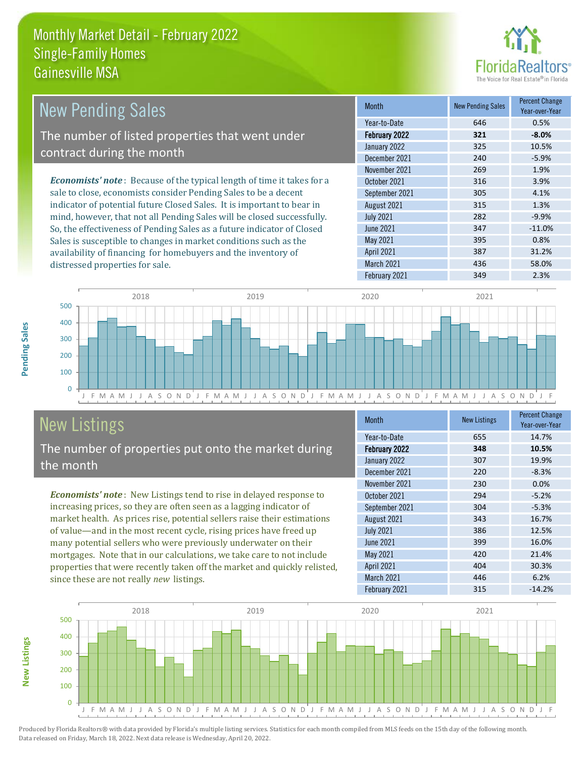

| <b>New Pending Sales</b>                                                       | <b>Month</b>      | <b>New Pending Sales</b> | <b>Percent Change</b><br>Year-over-Year |
|--------------------------------------------------------------------------------|-------------------|--------------------------|-----------------------------------------|
|                                                                                | Year-to-Date      | 646                      | 0.5%                                    |
| The number of listed properties that went under                                | February 2022     | 321                      | $-8.0\%$                                |
| contract during the month                                                      | January 2022      | 325                      | 10.5%                                   |
|                                                                                | December 2021     | 240                      | $-5.9%$                                 |
|                                                                                | November 2021     | 269                      | 1.9%                                    |
| <b>Economists' note</b> : Because of the typical length of time it takes for a | October 2021      | 316                      | 3.9%                                    |
| sale to close, economists consider Pending Sales to be a decent                | September 2021    | 305                      | 4.1%                                    |
| indicator of potential future Closed Sales. It is important to bear in         | August 2021       | 315                      | 1.3%                                    |
| mind, however, that not all Pending Sales will be closed successfully.         | <b>July 2021</b>  | 282                      | $-9.9%$                                 |
| So, the effectiveness of Pending Sales as a future indicator of Closed         | June 2021         | 347                      | $-11.0%$                                |
| Sales is susceptible to changes in market conditions such as the               | May 2021          | 395                      | 0.8%                                    |
| availability of financing for homebuyers and the inventory of                  | <b>April 2021</b> | 387                      | 31.2%                                   |



# New Listings

distressed properties for sale.

The number of properties put onto the market during the month

*Economists' note* : New Listings tend to rise in delayed response to increasing prices, so they are often seen as a lagging indicator of market health. As prices rise, potential sellers raise their estimations of value—and in the most recent cycle, rising prices have freed up many potential sellers who were previously underwater on their mortgages. Note that in our calculations, we take care to not include properties that were recently taken off the market and quickly relisted, since these are not really *new* listings.

| <b>Month</b>      | <b>New Listings</b> | <b>Percent Change</b><br>Year-over-Year |
|-------------------|---------------------|-----------------------------------------|
| Year-to-Date      | 655                 | 14.7%                                   |
| February 2022     | 348                 | 10.5%                                   |
| January 2022      | 307                 | 19.9%                                   |
| December 2021     | 220                 | $-8.3%$                                 |
| November 2021     | 230                 | 0.0%                                    |
| October 2021      | 294                 | $-5.2%$                                 |
| September 2021    | 304                 | $-5.3%$                                 |
| August 2021       | 343                 | 16.7%                                   |
| <b>July 2021</b>  | 386                 | 12.5%                                   |
| <b>June 2021</b>  | 399                 | 16.0%                                   |
| May 2021          | 420                 | 21.4%                                   |
| April 2021        | 404                 | 30.3%                                   |
| <b>March 2021</b> | 446                 | 6.2%                                    |
| February 2021     | 315                 | $-14.2%$                                |

March 2021 436 58.0% February 2021 **349** 2.3%



Pending Sales

**New Listings**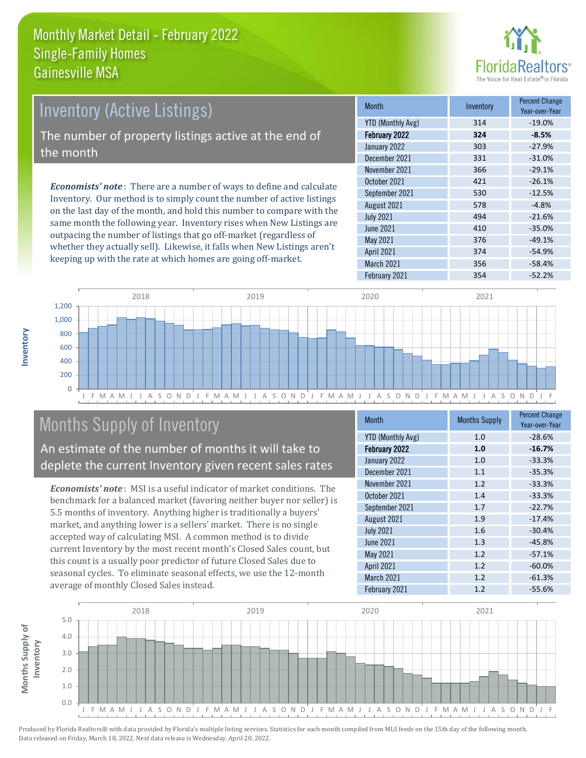

# *Economists' note* : There are a number of ways to define and calculate Inventory (Active Listings) The number of property listings active at the end of the month

Inventory. Our method is to simply count the number of active listings on the last day of the month, and hold this number to compare with the same month the following year. Inventory rises when New Listings are outpacing the number of listings that go off-market (regardless of whether they actually sell). Likewise, it falls when New Listings aren't keeping up with the rate at which homes are going off-market.

| <b>Month</b>             | Inventory | <b>Percent Change</b><br>Year-over-Year |
|--------------------------|-----------|-----------------------------------------|
| <b>YTD (Monthly Avg)</b> | 314       | $-19.0%$                                |
| February 2022            | 324       | $-8.5%$                                 |
| January 2022             | 303       | $-27.9%$                                |
| December 2021            | 331       | $-31.0%$                                |
| November 2021            | 366       | $-29.1%$                                |
| October 2021             | 421       | $-26.1%$                                |
| September 2021           | 530       | $-12.5%$                                |
| August 2021              | 578       | $-4.8%$                                 |
| <b>July 2021</b>         | 494       | $-21.6%$                                |
| June 2021                | 410       | $-35.0%$                                |
| May 2021                 | 376       | $-49.1%$                                |
| April 2021               | 374       | $-54.9%$                                |
| March 2021               | 356       | $-58.4%$                                |
| February 2021            | 354       | $-52.2%$                                |



## Months Supply of Inventory

An estimate of the number of months it will take to deplete the current Inventory given recent sales rates

*Economists' note* : MSI is a useful indicator of market conditions. The benchmark for a balanced market (favoring neither buyer nor seller) is 5.5 months of inventory. Anything higher is traditionally a buyers' market, and anything lower is a sellers' market. There is no single accepted way of calculating MSI. A common method is to divide current Inventory by the most recent month's Closed Sales count, but this count is a usually poor predictor of future Closed Sales due to seasonal cycles. To eliminate seasonal effects, we use the 12-month average of monthly Closed Sales instead.

| Month                    | <b>Months Supply</b> | <b>Percent Change</b><br>Year-over-Year |
|--------------------------|----------------------|-----------------------------------------|
| <b>YTD (Monthly Avg)</b> | 1.0                  | $-28.6%$                                |
| February 2022            | 1.0                  | $-16.7%$                                |
| January 2022             | 1.0                  | $-33.3%$                                |
| December 2021            | 1.1                  | $-35.3%$                                |
| November 2021            | 1.2                  | $-33.3%$                                |
| October 2021             | 1.4                  | $-33.3%$                                |
| September 2021           | 1.7                  | $-22.7%$                                |
| August 2021              | 1.9                  | $-17.4%$                                |
| <b>July 2021</b>         | 1.6                  | $-30.4%$                                |
| June 2021                | 1.3                  | $-45.8%$                                |
| May 2021                 | 1.2                  | $-57.1%$                                |
| April 2021               | 1.2                  | $-60.0%$                                |
| <b>March 2021</b>        | 1.2                  | $-61.3%$                                |
| February 2021            | 1.2                  | $-55.6%$                                |

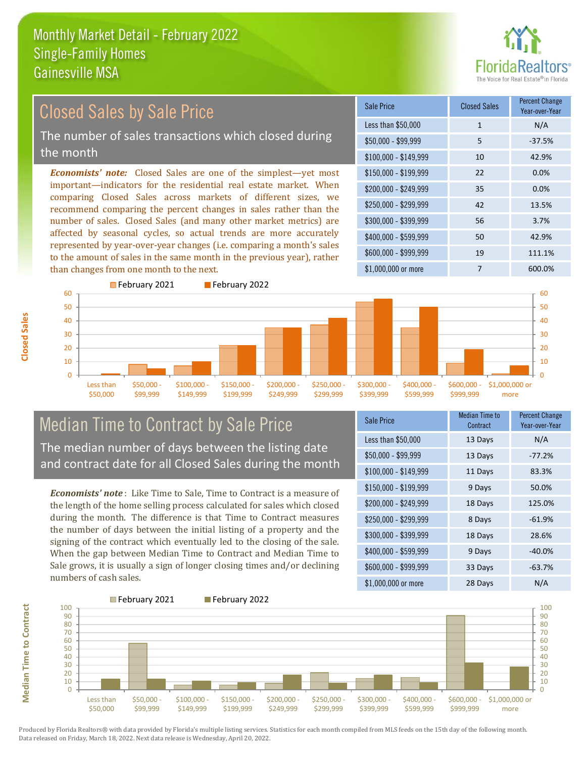

## Closed Sales by Sale Price

The number of sales transactions which closed during the month

*Economists' note:* Closed Sales are one of the simplest—yet most important—indicators for the residential real estate market. When comparing Closed Sales across markets of different sizes, we recommend comparing the percent changes in sales rather than the number of sales. Closed Sales (and many other market metrics) are affected by seasonal cycles, so actual trends are more accurately represented by year-over-year changes (i.e. comparing a month's sales to the amount of sales in the same month in the previous year), rather than changes from one month to the next.





### Median Time to Contract by Sale Price The median number of days between the listing date

and contract date for all Closed Sales during the month

*Economists' note* : Like Time to Sale, Time to Contract is a measure of the length of the home selling process calculated for sales which closed during the month. The difference is that Time to Contract measures the number of days between the initial listing of a property and the signing of the contract which eventually led to the closing of the sale. When the gap between Median Time to Contract and Median Time to Sale grows, it is usually a sign of longer closing times and/or declining numbers of cash sales.

| Sale Price            | <b>Median Time to</b><br>Contract | <b>Percent Change</b><br>Year-over-Year |
|-----------------------|-----------------------------------|-----------------------------------------|
| Less than \$50,000    | 13 Days                           | N/A                                     |
| $$50,000 - $99,999$   | 13 Days                           | $-77.2%$                                |
| $$100,000 - $149,999$ | 11 Days                           | 83.3%                                   |
| $$150,000 - $199,999$ | 9 Days                            | 50.0%                                   |
| \$200,000 - \$249,999 | 18 Days                           | 125.0%                                  |
| \$250,000 - \$299,999 | 8 Days                            | $-61.9%$                                |
| \$300,000 - \$399,999 | 18 Days                           | 28.6%                                   |
| \$400,000 - \$599,999 | 9 Days                            | $-40.0%$                                |
| \$600,000 - \$999,999 | 33 Days                           | $-63.7%$                                |
| \$1,000,000 or more   | 28 Days                           | N/A                                     |



Produced by Florida Realtors® with data provided by Florida's multiple listing services. Statistics for each month compiled from MLS feeds on the 15th day of the following month. Data released on Friday, March 18, 2022. Next data release is Wednesday, April 20, 2022.

**Median Time to Contract**

**Median Time to Contract**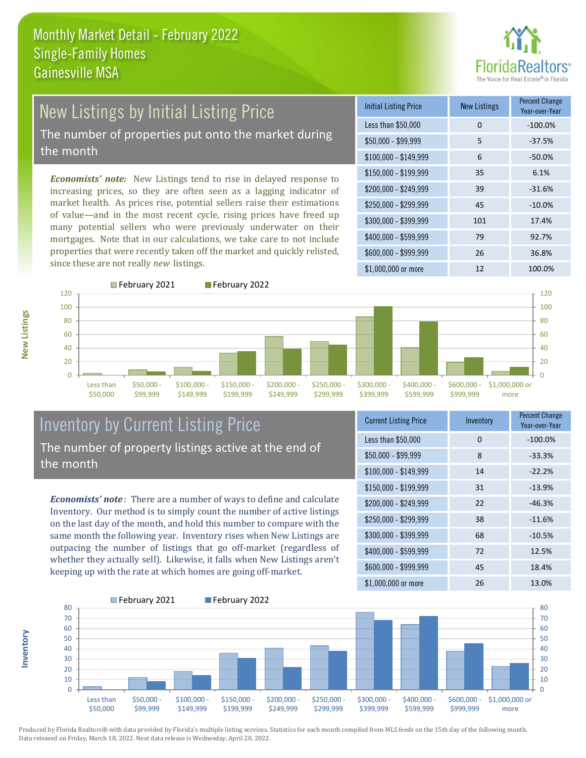

## New Listings by Initial Listing Price

The number of properties put onto the market during the month

*Economists' note:* New Listings tend to rise in delayed response to increasing prices, so they are often seen as a lagging indicator of market health. As prices rise, potential sellers raise their estimations of value—and in the most recent cycle, rising prices have freed up many potential sellers who were previously underwater on their mortgages. Note that in our calculations, we take care to not include properties that were recently taken off the market and quickly relisted, since these are not really *new* listings.





#### Inventory by Current Listing Price The number of property listings active at the end of the month

*Economists' note* : There are a number of ways to define and calculate Inventory. Our method is to simply count the number of active listings on the last day of the month, and hold this number to compare with the same month the following year. Inventory rises when New Listings are outpacing the number of listings that go off-market (regardless of whether they actually sell). Likewise, it falls when New Listings aren't keeping up with the rate at which homes are going off-market.

| <b>Current Listing Price</b> | Inventory | <b>Percent Change</b><br>Year-over-Year |
|------------------------------|-----------|-----------------------------------------|
| Less than \$50,000           | $\Omega$  | $-100.0%$                               |
| $$50,000 - $99,999$          | 8         | $-33.3%$                                |
| $$100,000 - $149,999$        | 14        | $-22.2%$                                |
| \$150,000 - \$199,999        | 31        | $-13.9%$                                |
| $$200,000 - $249,999$        | 22        | $-46.3%$                                |
| $$250,000 - $299,999$        | 38        | $-11.6%$                                |
| \$300,000 - \$399,999        | 68        | $-10.5%$                                |
| $$400,000 - $599,999$        | 72        | 12.5%                                   |
| \$600,000 - \$999,999        | 45        | 18.4%                                   |
| \$1,000,000 or more          | 26        | 13.0%                                   |



**Inventory**